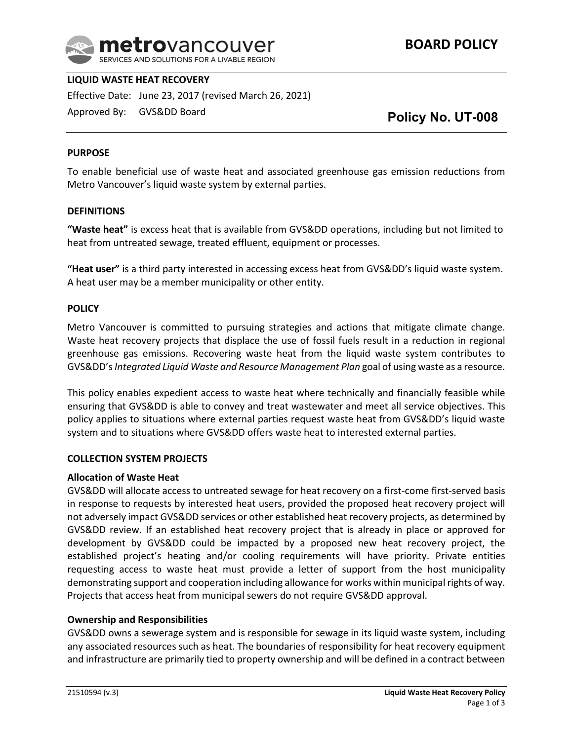

### **LIQUID WASTE HEAT RECOVERY**

Effective Date: June 23, 2017 (revised March 26, 2021)

Approved By: GVS&DD Board

# **Policy No. UT-008**

#### **PURPOSE**

To enable beneficial use of waste heat and associated greenhouse gas emission reductions from Metro Vancouver's liquid waste system by external parties.

#### **DEFINITIONS**

**"Waste heat"** is excess heat that is available from GVS&DD operations, including but not limited to heat from untreated sewage, treated effluent, equipment or processes.

**"Heat user"** is a third party interested in accessing excess heat from GVS&DD's liquid waste system. A heat user may be a member municipality or other entity.

#### **POLICY**

Metro Vancouver is committed to pursuing strategies and actions that mitigate climate change. Waste heat recovery projects that displace the use of fossil fuels result in a reduction in regional greenhouse gas emissions. Recovering waste heat from the liquid waste system contributes to GVS&DD's *Integrated Liquid Waste and Resource Management Plan* goal of using waste as a resource.

This policy enables expedient access to waste heat where technically and financially feasible while ensuring that GVS&DD is able to convey and treat wastewater and meet all service objectives. This policy applies to situations where external parties request waste heat from GVS&DD's liquid waste system and to situations where GVS&DD offers waste heat to interested external parties.

#### **COLLECTION SYSTEM PROJECTS**

#### **Allocation of Waste Heat**

GVS&DD will allocate access to untreated sewage for heat recovery on a first-come first-served basis in response to requests by interested heat users, provided the proposed heat recovery project will not adversely impact GVS&DD services or other established heat recovery projects, as determined by GVS&DD review. If an established heat recovery project that is already in place or approved for development by GVS&DD could be impacted by a proposed new heat recovery project, the established project's heating and/or cooling requirements will have priority. Private entities requesting access to waste heat must provide a letter of support from the host municipality demonstrating support and cooperation including allowance for works within municipal rights of way. Projects that access heat from municipal sewers do not require GVS&DD approval.

#### **Ownership and Responsibilities**

GVS&DD owns a sewerage system and is responsible for sewage in its liquid waste system, including any associated resources such as heat. The boundaries of responsibility for heat recovery equipment and infrastructure are primarily tied to property ownership and will be defined in a contract between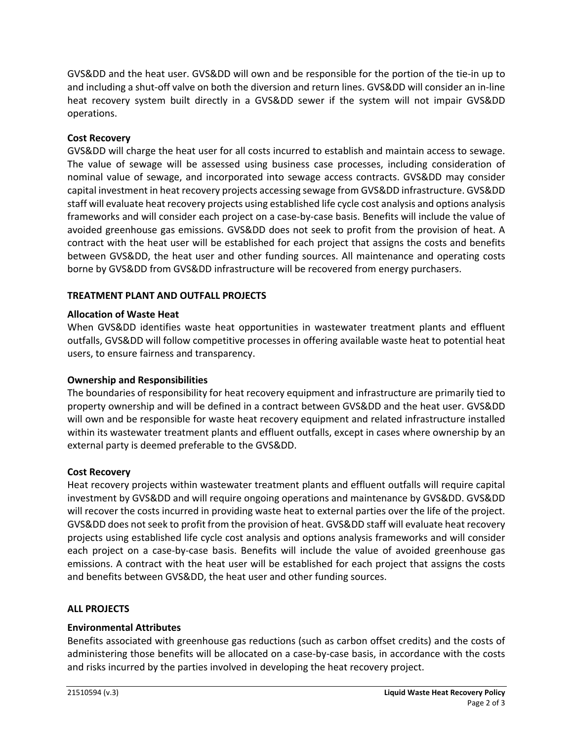GVS&DD and the heat user. GVS&DD will own and be responsible for the portion of the tie‐in up to and including a shut-off valve on both the diversion and return lines. GVS&DD will consider an in-line heat recovery system built directly in a GVS&DD sewer if the system will not impair GVS&DD operations.

### **Cost Recovery**

GVS&DD will charge the heat user for all costs incurred to establish and maintain access to sewage. The value of sewage will be assessed using business case processes, including consideration of nominal value of sewage, and incorporated into sewage access contracts. GVS&DD may consider capital investment in heat recovery projects accessing sewage from GVS&DD infrastructure. GVS&DD staff will evaluate heat recovery projects using established life cycle cost analysis and options analysis frameworks and will consider each project on a case‐by‐case basis. Benefits will include the value of avoided greenhouse gas emissions. GVS&DD does not seek to profit from the provision of heat. A contract with the heat user will be established for each project that assigns the costs and benefits between GVS&DD, the heat user and other funding sources. All maintenance and operating costs borne by GVS&DD from GVS&DD infrastructure will be recovered from energy purchasers.

### **TREATMENT PLANT AND OUTFALL PROJECTS**

### **Allocation of Waste Heat**

When GVS&DD identifies waste heat opportunities in wastewater treatment plants and effluent outfalls, GVS&DD will follow competitive processes in offering available waste heat to potential heat users, to ensure fairness and transparency.

### **Ownership and Responsibilities**

The boundaries of responsibility for heat recovery equipment and infrastructure are primarily tied to property ownership and will be defined in a contract between GVS&DD and the heat user. GVS&DD will own and be responsible for waste heat recovery equipment and related infrastructure installed within its wastewater treatment plants and effluent outfalls, except in cases where ownership by an external party is deemed preferable to the GVS&DD.

### **Cost Recovery**

Heat recovery projects within wastewater treatment plants and effluent outfalls will require capital investment by GVS&DD and will require ongoing operations and maintenance by GVS&DD. GVS&DD will recover the costs incurred in providing waste heat to external parties over the life of the project. GVS&DD does not seek to profit from the provision of heat. GVS&DD staff will evaluate heat recovery projects using established life cycle cost analysis and options analysis frameworks and will consider each project on a case-by-case basis. Benefits will include the value of avoided greenhouse gas emissions. A contract with the heat user will be established for each project that assigns the costs and benefits between GVS&DD, the heat user and other funding sources.

### **ALL PROJECTS**

## **Environmental Attributes**

Benefits associated with greenhouse gas reductions (such as carbon offset credits) and the costs of administering those benefits will be allocated on a case-by-case basis, in accordance with the costs and risks incurred by the parties involved in developing the heat recovery project.